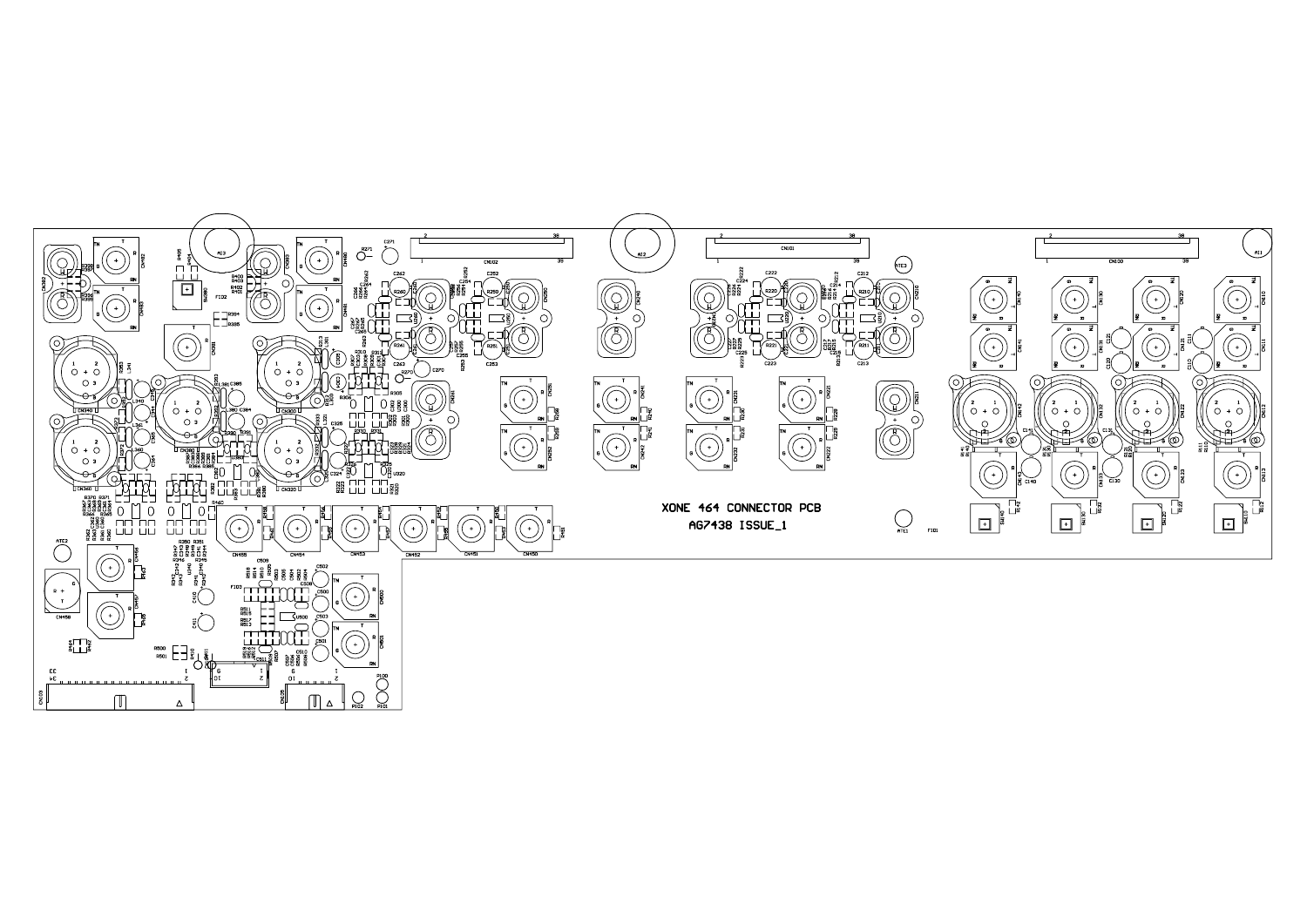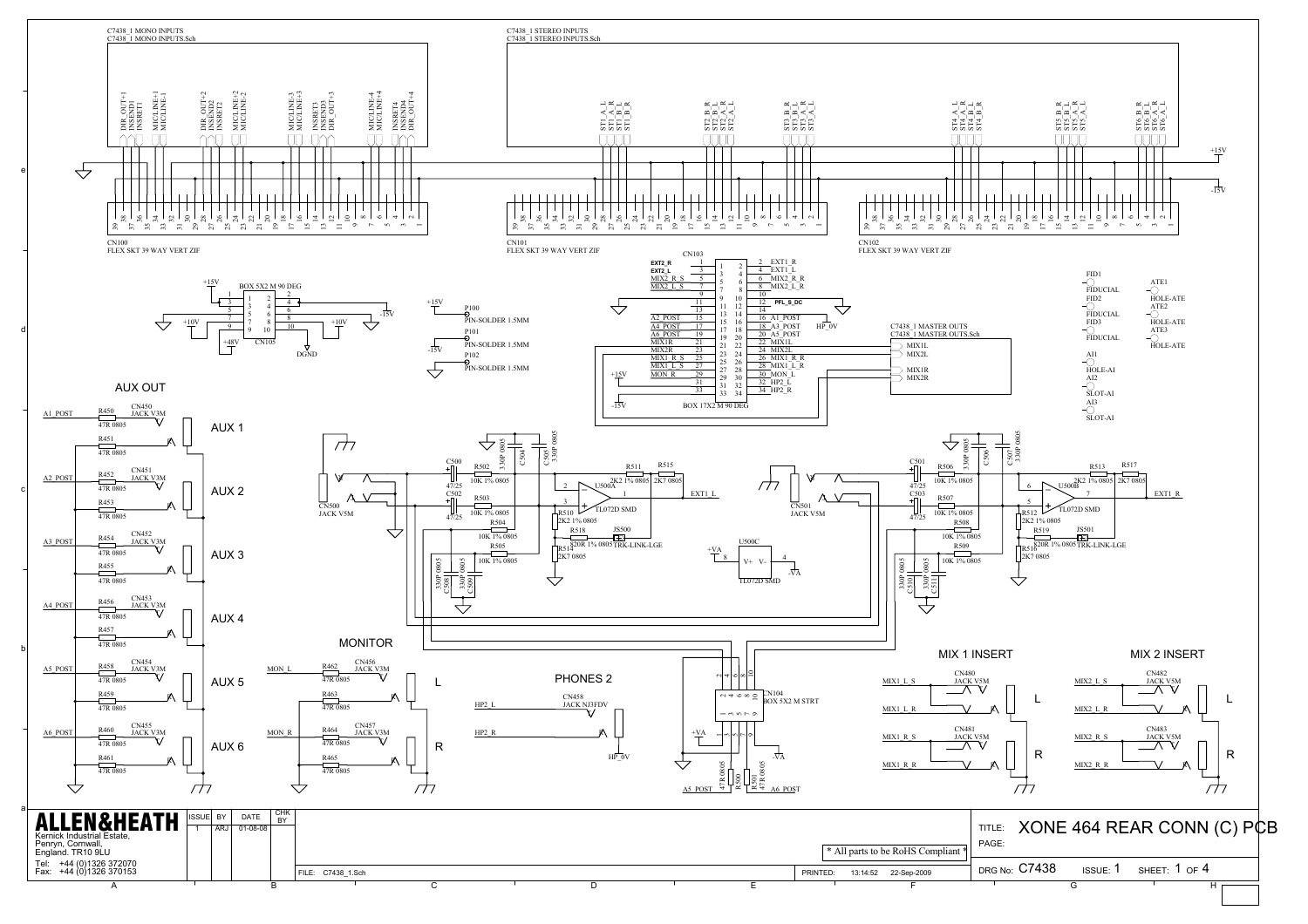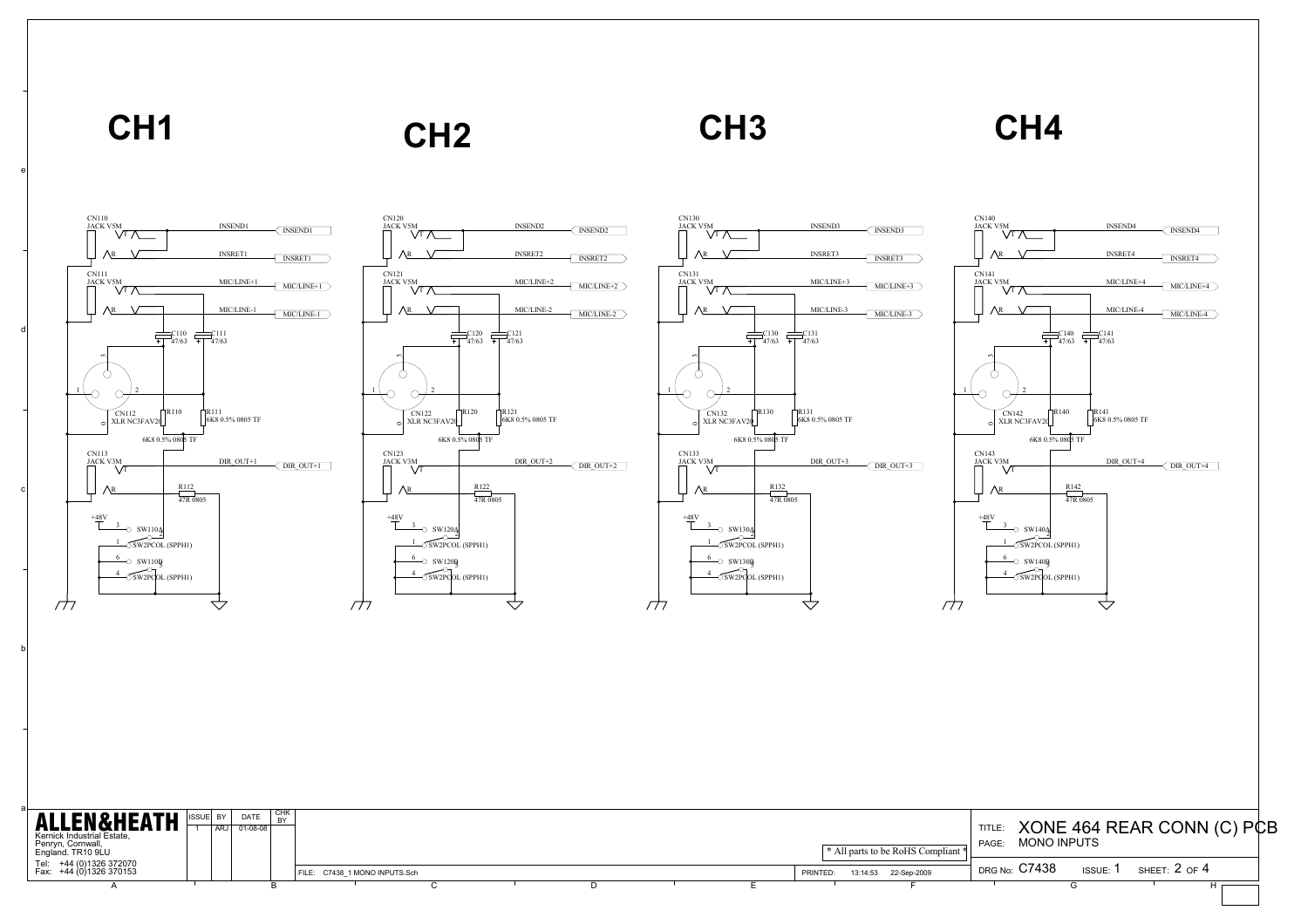**CH1**

## **CH2**

**CH3 CH4**

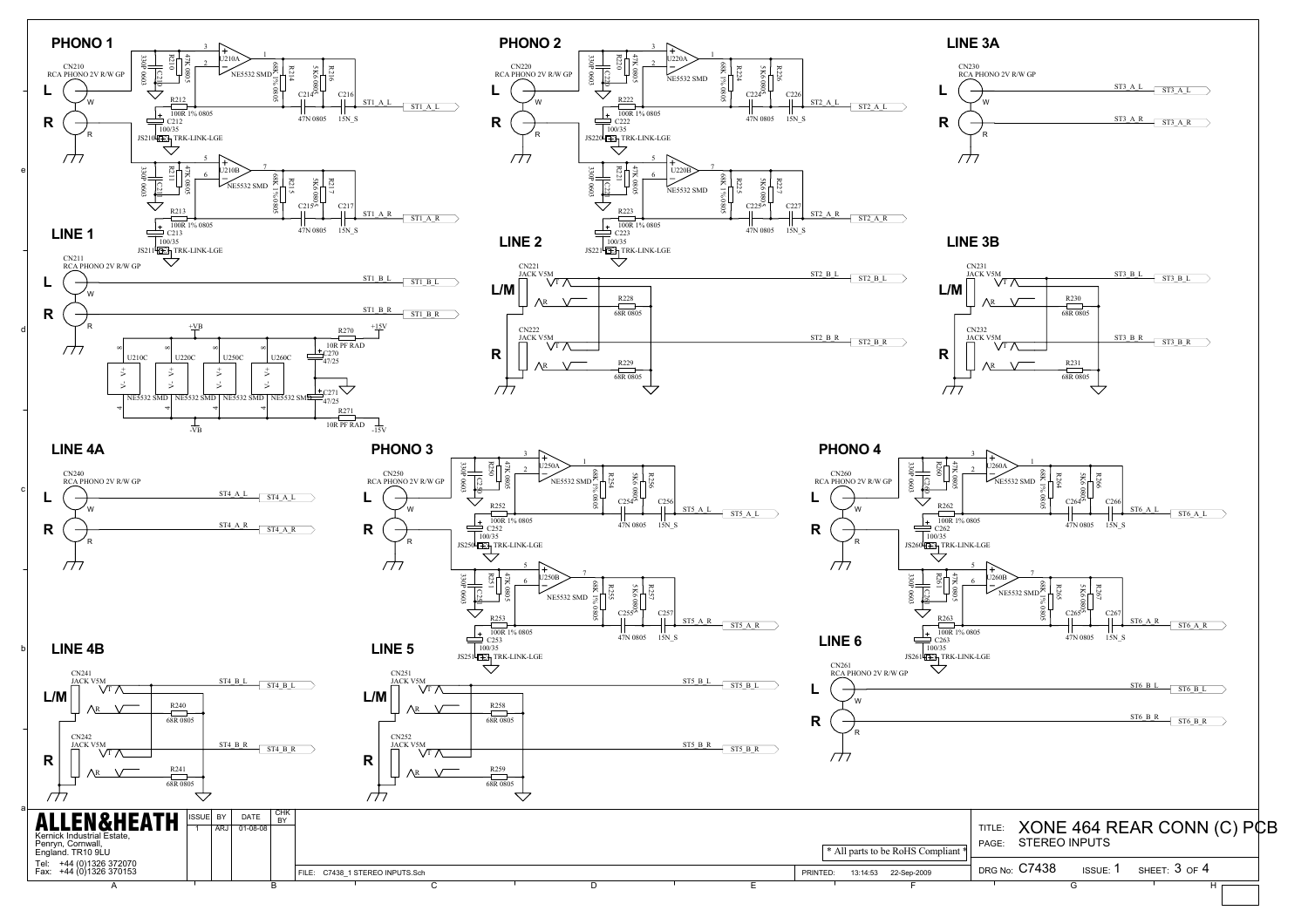